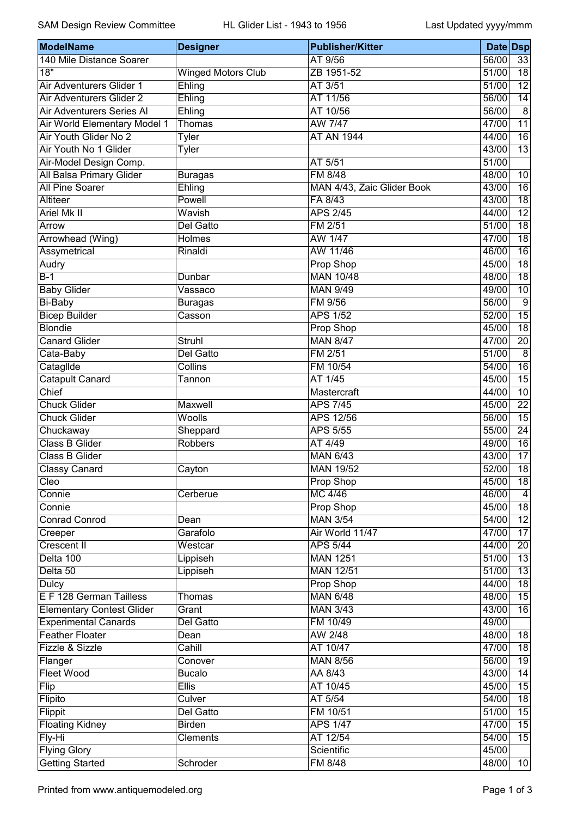| <b>ModelName</b>                 | <b>Designer</b>           | <b>Publisher/Kitter</b>    | Date Dsp |                 |
|----------------------------------|---------------------------|----------------------------|----------|-----------------|
| 140 Mile Distance Soarer         |                           | AT 9/56                    | 56/00    | 33              |
| $\overline{18"}$                 | <b>Winged Motors Club</b> | ZB 1951-52                 | 51/00    | $\overline{18}$ |
| Air Adventurers Glider 1         | Ehling                    | AT 3/51                    | 51/00    | 12              |
| Air Adventurers Glider 2         | Ehling                    | AT 11/56                   | 56/00    | 14              |
| Air Adventurers Series Al        | Ehling                    | AT 10/56                   | 56/00    | 8               |
| Air World Elementary Model 1     | Thomas                    | AW 7/47                    | 47/00    | $\overline{11}$ |
| Air Youth Glider No 2            | <b>Tyler</b>              | <b>AT AN 1944</b>          | 44/00    | 16              |
| Air Youth No 1 Glider            | Tyler                     |                            | 43/00    | $\overline{13}$ |
| Air-Model Design Comp.           |                           | AT 5/51                    | 51/00    |                 |
| All Balsa Primary Glider         | <b>Buragas</b>            | <b>FM 8/48</b>             | 48/00    | 10              |
| <b>All Pine Soarer</b>           | Ehling                    | MAN 4/43, Zaic Glider Book | 43/00    | $\overline{16}$ |
| Altiteer                         | Powell                    | FA 8/43                    | 43/00    | 18              |
| <b>Ariel Mk II</b>               | Wavish                    | <b>APS 2/45</b>            | 44/00    | 12              |
| Arrow                            | Del Gatto                 | FM 2/51                    | 51/00    | 18              |
| Arrowhead (Wing)                 | Holmes                    | AW 1/47                    | 47/00    | $\overline{18}$ |
| Assymetrical                     | Rinaldi                   | AW 11/46                   | 46/00    | $\overline{16}$ |
| Audry                            |                           | Prop Shop                  | 45/00    | 18              |
| $\overline{B-1}$                 | Dunbar                    | <b>MAN 10/48</b>           | 48/00    | 18              |
| <b>Baby Glider</b>               | Vassaco                   | <b>MAN 9/49</b>            | 49/00    | 10              |
| <b>Bi-Baby</b>                   | <b>Buragas</b>            | FM 9/56                    | 56/00    | $\overline{9}$  |
| <b>Bicep Builder</b>             | Casson                    | <b>APS 1/52</b>            | 52/00    | $\overline{15}$ |
| <b>Blondie</b>                   |                           | Prop Shop                  | 45/00    | $\overline{18}$ |
| <b>Canard Glider</b>             | Struhl                    | <b>MAN 8/47</b>            | 47/00    | 20              |
| Cata-Baby                        | Del Gatto                 | FM 2/51                    | 51/00    | $\overline{8}$  |
| Cataglide                        | Collins                   | FM 10/54                   | 54/00    | $\overline{16}$ |
| <b>Catapult Canard</b>           | Tannon                    | AT 1/45                    | 45/00    | 15              |
| Chief                            |                           | Mastercraft                | 44/00    | 10              |
| <b>Chuck Glider</b>              | Maxwell                   | <b>APS 7/45</b>            | 45/00    | $\overline{22}$ |
| <b>Chuck Glider</b>              | Woolls                    | APS 12/56                  | 56/00    | 15              |
| Chuckaway                        |                           | <b>APS 5/55</b>            | 55/00    | 24              |
| <b>Class B Glider</b>            | Sheppard<br>Robbers       | AT 4/49                    | 49/00    | 16              |
| <b>Class B Glider</b>            |                           | <b>MAN 6/43</b>            | 43/00    | 17              |
|                                  |                           | <b>MAN 19/52</b>           | 52/00    | 18              |
| <b>Classy Canard</b><br>Cleo     | Cayton                    | <b>Prop Shop</b>           | 45/00    | $\overline{18}$ |
| Connie                           | Cerberue                  | <b>MC 4/46</b>             | 46/00    | 4               |
|                                  |                           |                            |          | 18              |
| Connie                           |                           | Prop Shop                  | 45/00    |                 |
| <b>Conrad Conrod</b>             | Dean                      | <b>MAN 3/54</b>            | 54/00    | $\overline{12}$ |
| Creeper                          | Garafolo                  | Air World 11/47            | 47/00    | 17              |
| Crescent II                      | Westcar                   | <b>APS 5/44</b>            | 44/00    | $\overline{20}$ |
| Delta 100                        | Lippiseh                  | <b>MAN 1251</b>            | 51/00    | 13              |
| Delta 50                         | Lippiseh                  | <b>MAN 12/51</b>           | 51/00    | 13              |
| <b>Dulcy</b>                     |                           | Prop Shop                  | 44/00    | 18              |
| E F 128 German Tailless          | Thomas                    | <b>MAN 6/48</b>            | 48/00    | 15              |
| <b>Elementary Contest Glider</b> | Grant                     | <b>MAN 3/43</b>            | 43/00    | 16              |
| <b>Experimental Canards</b>      | Del Gatto                 | FM 10/49                   | 49/00    |                 |
| <b>Feather Floater</b>           | Dean                      | AW 2/48                    | 48/00    | 18              |
| Fizzle & Sizzle                  | Cahill                    | AT 10/47                   | 47/00    | $\overline{18}$ |
| Flanger                          | Conover                   | <b>MAN 8/56</b>            | 56/00    | 19              |
| <b>Fleet Wood</b>                | <b>Bucalo</b>             | AA 8/43                    | 43/00    | 14              |
| Flip                             | <b>Ellis</b>              | AT 10/45                   | 45/00    | 15              |
| Flipito                          | Culver                    | AT 5/54                    | 54/00    | 18              |
| Flippit                          | Del Gatto                 | FM 10/51                   | 51/00    | 15              |
| <b>Floating Kidney</b>           | <b>Birden</b>             | <b>APS 1/47</b>            | 47/00    | $\overline{15}$ |
| Fly-Hi                           | Clements                  | AT 12/54                   | 54/00    | 15              |
| <b>Flying Glory</b>              |                           | Scientific                 | 45/00    |                 |
| <b>Getting Started</b>           | Schroder                  | FM 8/48                    | 48/00    | 10              |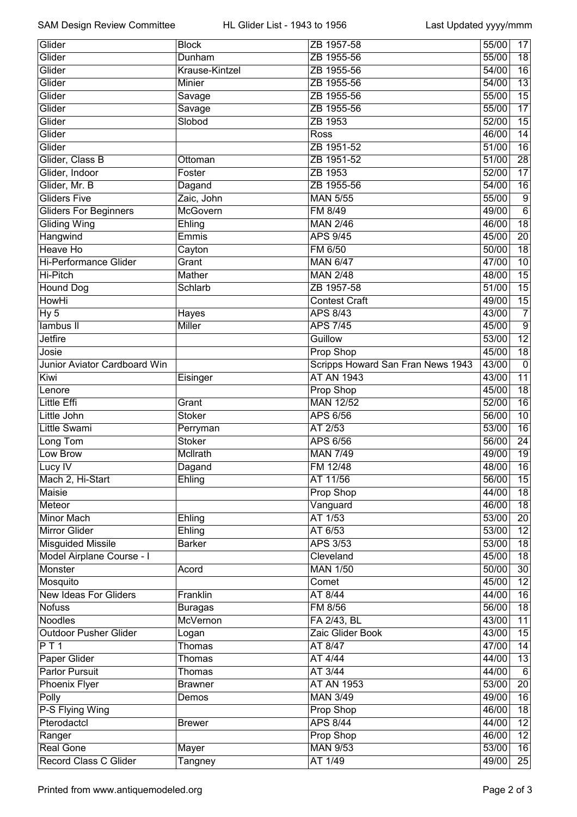| Glider                       | <b>Block</b>                      | ZB 1957-58                        | 55/00 | 17               |
|------------------------------|-----------------------------------|-----------------------------------|-------|------------------|
| Glider                       | Dunham                            | ZB 1955-56                        |       | 18               |
| Glider                       | Krause-Kintzel                    | ZB 1955-56                        |       | 16               |
| Glider                       | Minier                            | ZB 1955-56                        |       | $\overline{13}$  |
| Glider                       | ZB 1955-56<br>Savage              |                                   | 55/00 | 15               |
| Glider                       | Savage                            | ZB 1955-56                        | 55/00 | $\overline{17}$  |
| Glider                       | Slobod                            | ZB 1953                           | 52/00 | $\overline{15}$  |
| Glider                       |                                   | Ross                              | 46/00 | 14               |
| Glider                       |                                   | ZB 1951-52                        | 51/00 | 16               |
| Glider, Class B              | Ottoman                           | ZB 1951-52                        | 51/00 | 28               |
| Glider, Indoor               | Foster                            | ZB 1953                           | 52/00 | 17               |
| Glider, Mr. B                | Dagand                            | ZB 1955-56                        | 54/00 | 16               |
| <b>Gliders Five</b>          | Zaic, John                        | <b>MAN 5/55</b>                   | 55/00 | 9                |
| <b>Gliders For Beginners</b> | McGovern                          | FM 8/49                           | 49/00 | $\overline{6}$   |
| <b>Gliding Wing</b>          | Ehling                            | <b>MAN 2/46</b>                   | 46/00 | 18               |
| Hangwind                     | Emmis                             | <b>APS 9/45</b>                   | 45/00 | 20               |
| <b>Heave Ho</b>              | Cayton                            | FM 6/50                           | 50/00 | $\overline{18}$  |
| <b>Hi-Performance Glider</b> | Grant                             | <b>MAN 6/47</b>                   | 47/00 | 10               |
| Hi-Pitch                     | <b>Mather</b>                     | <b>MAN 2/48</b>                   | 48/00 | 15               |
| <b>Hound Dog</b>             | Schlarb                           | ZB 1957-58                        | 51/00 | 15               |
| <b>HowHi</b>                 |                                   | <b>Contest Craft</b>              | 49/00 | 15               |
| Hy <sub>5</sub>              | Hayes                             | <b>APS 8/43</b>                   | 43/00 | $\overline{7}$   |
| lambus II                    | Miller                            | <b>APS 7/45</b>                   | 45/00 | $\boldsymbol{9}$ |
| <b>Jetfire</b>               |                                   | Guillow                           | 53/00 | $\overline{12}$  |
| Josie                        |                                   | <b>Prop Shop</b>                  | 45/00 | $\overline{18}$  |
| Junior Aviator Cardboard Win |                                   | Scripps Howard San Fran News 1943 | 43/00 | $\pmb{0}$        |
| Kiwi                         | Eisinger                          | <b>AT AN 1943</b>                 | 43/00 | $\overline{11}$  |
| Lenore                       |                                   | Prop Shop                         | 45/00 | 18               |
| <b>Little Effi</b>           | Grant                             | <b>MAN 12/52</b>                  | 52/00 | 16               |
| Little John                  | <b>Stoker</b>                     | <b>APS 6/56</b>                   | 56/00 | 10               |
| Little Swami                 | Perryman                          | AT 2/53                           | 53/00 | 16               |
| Long Tom                     | <b>Stoker</b>                     | <b>APS 6/56</b>                   | 56/00 | $\overline{24}$  |
| Low Brow                     | McIlrath                          | <b>MAN 7/49</b>                   | 49/00 | 19               |
| Lucy IV                      | Dagand                            | FM 12/48                          | 48/00 | 16               |
| Mach 2, Hi-Start             | Ehling                            | AT 11/56                          | 56/00 | 15               |
| <b>Maisie</b>                |                                   | <b>Prop Shop</b>                  | 44/00 | 18               |
| Meteor                       |                                   | Vanguard                          | 46/00 | $\overline{18}$  |
| <b>Minor Mach</b>            | Ehling                            | AT 1/53                           | 53/00 | $\overline{20}$  |
| <b>Mirror Glider</b>         | Ehling                            | AT 6/53                           | 53/00 | $\overline{12}$  |
| <b>Misguided Missile</b>     | <b>Barker</b>                     | <b>APS 3/53</b>                   | 53/00 | 18               |
| Model Airplane Course - I    |                                   | Cleveland                         | 45/00 | 18               |
| <b>Monster</b>               | Acord                             | <b>MAN 1/50</b>                   | 50/00 | 30               |
| Mosquito                     |                                   | Comet                             | 45/00 | 12               |
| <b>New Ideas For Gliders</b> | Franklin                          | AT 8/44                           | 44/00 | $\overline{16}$  |
| <b>Nofuss</b>                |                                   | FM 8/56                           | 56/00 | $\overline{18}$  |
| <b>Noodles</b>               | <b>Buragas</b><br><b>McVernon</b> |                                   |       |                  |
|                              |                                   | FA 2/43, BL                       | 43/00 | 11               |
| <b>Outdoor Pusher Glider</b> | Logan                             | Zaic Glider Book                  | 43/00 | 15               |
| PT1                          | Thomas                            | AT 8/47                           | 47/00 | 14               |
| Paper Glider                 | Thomas                            | AT 4/44                           | 44/00 | 13               |
| <b>Parlor Pursuit</b>        | <b>Thomas</b>                     | AT 3/44                           | 44/00 | 6                |
| <b>Phoenix Flyer</b>         | <b>Brawner</b>                    | <b>AT AN 1953</b>                 | 53/00 | $\overline{20}$  |
| Polly                        | Demos                             | <b>MAN 3/49</b>                   | 49/00 | 16               |
| P-S Flying Wing              |                                   | Prop Shop                         | 46/00 | 18               |
| Pterodactcl                  | <b>Brewer</b>                     | <b>APS 8/44</b>                   | 44/00 | 12               |
| Ranger                       |                                   | Prop Shop                         | 46/00 | 12               |
| <b>Real Gone</b>             | Mayer                             | <b>MAN 9/53</b>                   | 53/00 | 16               |
| Record Class C Glider        | Tangney                           | AT 1/49                           | 49/00 | $\overline{25}$  |